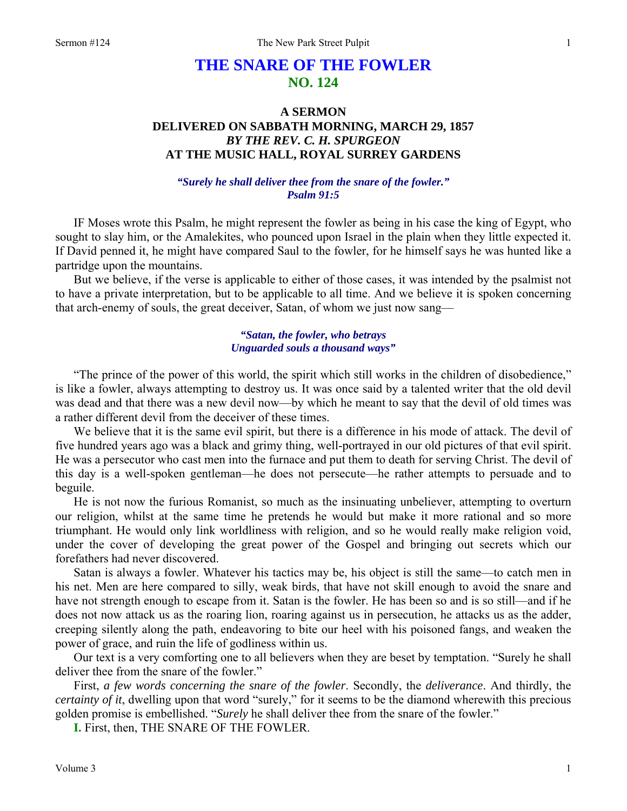# **THE SNARE OF THE FOWLER NO. 124**

# **A SERMON DELIVERED ON SABBATH MORNING, MARCH 29, 1857**  *BY THE REV. C. H. SPURGEON*  **AT THE MUSIC HALL, ROYAL SURREY GARDENS**

## *"Surely he shall deliver thee from the snare of the fowler." Psalm 91:5*

IF Moses wrote this Psalm, he might represent the fowler as being in his case the king of Egypt, who sought to slay him, or the Amalekites, who pounced upon Israel in the plain when they little expected it. If David penned it, he might have compared Saul to the fowler, for he himself says he was hunted like a partridge upon the mountains.

But we believe, if the verse is applicable to either of those cases, it was intended by the psalmist not to have a private interpretation, but to be applicable to all time. And we believe it is spoken concerning that arch-enemy of souls, the great deceiver, Satan, of whom we just now sang—

### *"Satan, the fowler, who betrays Unguarded souls a thousand ways"*

"The prince of the power of this world, the spirit which still works in the children of disobedience," is like a fowler, always attempting to destroy us. It was once said by a talented writer that the old devil was dead and that there was a new devil now—by which he meant to say that the devil of old times was a rather different devil from the deceiver of these times.

We believe that it is the same evil spirit, but there is a difference in his mode of attack. The devil of five hundred years ago was a black and grimy thing, well-portrayed in our old pictures of that evil spirit. He was a persecutor who cast men into the furnace and put them to death for serving Christ. The devil of this day is a well-spoken gentleman—he does not persecute—he rather attempts to persuade and to beguile.

He is not now the furious Romanist, so much as the insinuating unbeliever, attempting to overturn our religion, whilst at the same time he pretends he would but make it more rational and so more triumphant. He would only link worldliness with religion, and so he would really make religion void, under the cover of developing the great power of the Gospel and bringing out secrets which our forefathers had never discovered.

Satan is always a fowler. Whatever his tactics may be, his object is still the same—to catch men in his net. Men are here compared to silly, weak birds, that have not skill enough to avoid the snare and have not strength enough to escape from it. Satan is the fowler. He has been so and is so still—and if he does not now attack us as the roaring lion, roaring against us in persecution, he attacks us as the adder, creeping silently along the path, endeavoring to bite our heel with his poisoned fangs, and weaken the power of grace, and ruin the life of godliness within us.

Our text is a very comforting one to all believers when they are beset by temptation. "Surely he shall deliver thee from the snare of the fowler."

First, *a few words concerning the snare of the fowler*. Secondly, the *deliverance*. And thirdly, the *certainty of it*, dwelling upon that word "surely," for it seems to be the diamond wherewith this precious golden promise is embellished. "*Surely* he shall deliver thee from the snare of the fowler."

**I.** First, then, THE SNARE OF THE FOWLER.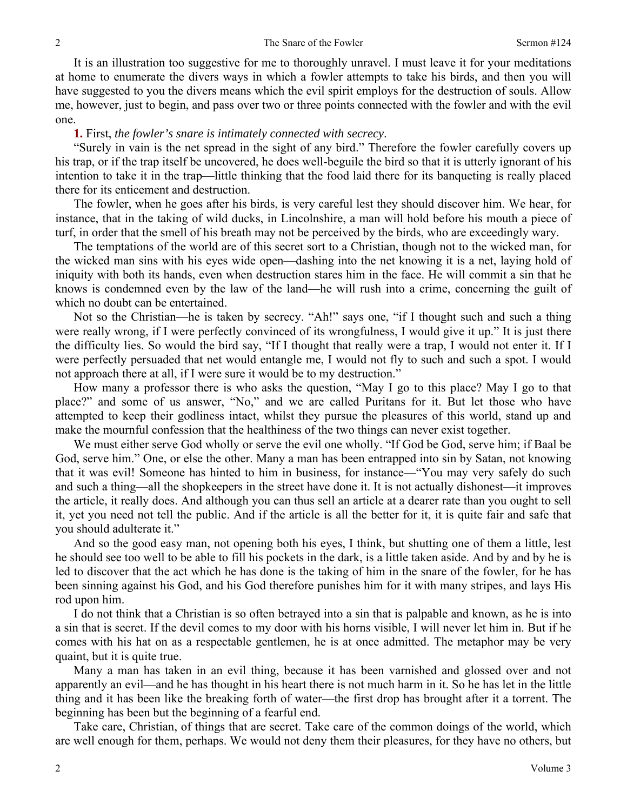It is an illustration too suggestive for me to thoroughly unravel. I must leave it for your meditations at home to enumerate the divers ways in which a fowler attempts to take his birds, and then you will have suggested to you the divers means which the evil spirit employs for the destruction of souls. Allow me, however, just to begin, and pass over two or three points connected with the fowler and with the evil one.

### **1.** First, *the fowler's snare is intimately connected with secrecy*.

"Surely in vain is the net spread in the sight of any bird." Therefore the fowler carefully covers up his trap, or if the trap itself be uncovered, he does well-beguile the bird so that it is utterly ignorant of his intention to take it in the trap—little thinking that the food laid there for its banqueting is really placed there for its enticement and destruction.

The fowler, when he goes after his birds, is very careful lest they should discover him. We hear, for instance, that in the taking of wild ducks, in Lincolnshire, a man will hold before his mouth a piece of turf, in order that the smell of his breath may not be perceived by the birds, who are exceedingly wary.

The temptations of the world are of this secret sort to a Christian, though not to the wicked man, for the wicked man sins with his eyes wide open—dashing into the net knowing it is a net, laying hold of iniquity with both its hands, even when destruction stares him in the face. He will commit a sin that he knows is condemned even by the law of the land—he will rush into a crime, concerning the guilt of which no doubt can be entertained.

Not so the Christian—he is taken by secrecy. "Ah!" says one, "if I thought such and such a thing were really wrong, if I were perfectly convinced of its wrongfulness, I would give it up." It is just there the difficulty lies. So would the bird say, "If I thought that really were a trap, I would not enter it. If I were perfectly persuaded that net would entangle me, I would not fly to such and such a spot. I would not approach there at all, if I were sure it would be to my destruction."

How many a professor there is who asks the question, "May I go to this place? May I go to that place?" and some of us answer, "No," and we are called Puritans for it. But let those who have attempted to keep their godliness intact, whilst they pursue the pleasures of this world, stand up and make the mournful confession that the healthiness of the two things can never exist together.

We must either serve God wholly or serve the evil one wholly. "If God be God, serve him; if Baal be God, serve him." One, or else the other. Many a man has been entrapped into sin by Satan, not knowing that it was evil! Someone has hinted to him in business, for instance—"You may very safely do such and such a thing—all the shopkeepers in the street have done it. It is not actually dishonest—it improves the article, it really does. And although you can thus sell an article at a dearer rate than you ought to sell it, yet you need not tell the public. And if the article is all the better for it, it is quite fair and safe that you should adulterate it."

And so the good easy man, not opening both his eyes, I think, but shutting one of them a little, lest he should see too well to be able to fill his pockets in the dark, is a little taken aside. And by and by he is led to discover that the act which he has done is the taking of him in the snare of the fowler, for he has been sinning against his God, and his God therefore punishes him for it with many stripes, and lays His rod upon him.

I do not think that a Christian is so often betrayed into a sin that is palpable and known, as he is into a sin that is secret. If the devil comes to my door with his horns visible, I will never let him in. But if he comes with his hat on as a respectable gentlemen, he is at once admitted. The metaphor may be very quaint, but it is quite true.

Many a man has taken in an evil thing, because it has been varnished and glossed over and not apparently an evil—and he has thought in his heart there is not much harm in it. So he has let in the little thing and it has been like the breaking forth of water—the first drop has brought after it a torrent. The beginning has been but the beginning of a fearful end.

Take care, Christian, of things that are secret. Take care of the common doings of the world, which are well enough for them, perhaps. We would not deny them their pleasures, for they have no others, but

2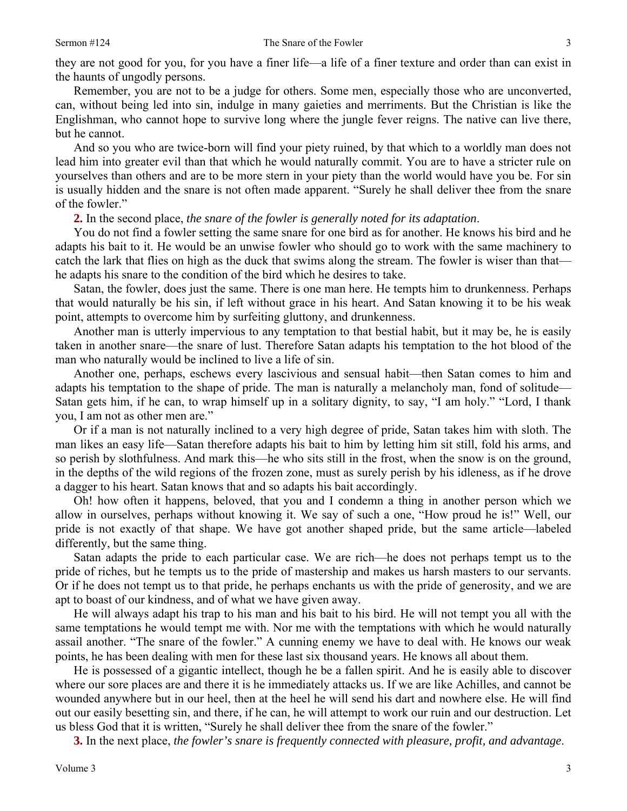they are not good for you, for you have a finer life—a life of a finer texture and order than can exist in the haunts of ungodly persons.

Remember, you are not to be a judge for others. Some men, especially those who are unconverted, can, without being led into sin, indulge in many gaieties and merriments. But the Christian is like the Englishman, who cannot hope to survive long where the jungle fever reigns. The native can live there, but he cannot.

And so you who are twice-born will find your piety ruined, by that which to a worldly man does not lead him into greater evil than that which he would naturally commit. You are to have a stricter rule on yourselves than others and are to be more stern in your piety than the world would have you be. For sin is usually hidden and the snare is not often made apparent. "Surely he shall deliver thee from the snare of the fowler."

**2.** In the second place, *the snare of the fowler is generally noted for its adaptation*.

You do not find a fowler setting the same snare for one bird as for another. He knows his bird and he adapts his bait to it. He would be an unwise fowler who should go to work with the same machinery to catch the lark that flies on high as the duck that swims along the stream. The fowler is wiser than that he adapts his snare to the condition of the bird which he desires to take.

Satan, the fowler, does just the same. There is one man here. He tempts him to drunkenness. Perhaps that would naturally be his sin, if left without grace in his heart. And Satan knowing it to be his weak point, attempts to overcome him by surfeiting gluttony, and drunkenness.

Another man is utterly impervious to any temptation to that bestial habit, but it may be, he is easily taken in another snare—the snare of lust. Therefore Satan adapts his temptation to the hot blood of the man who naturally would be inclined to live a life of sin.

Another one, perhaps, eschews every lascivious and sensual habit—then Satan comes to him and adapts his temptation to the shape of pride. The man is naturally a melancholy man, fond of solitude— Satan gets him, if he can, to wrap himself up in a solitary dignity, to say, "I am holy." "Lord, I thank you, I am not as other men are."

Or if a man is not naturally inclined to a very high degree of pride, Satan takes him with sloth. The man likes an easy life—Satan therefore adapts his bait to him by letting him sit still, fold his arms, and so perish by slothfulness. And mark this—he who sits still in the frost, when the snow is on the ground, in the depths of the wild regions of the frozen zone, must as surely perish by his idleness, as if he drove a dagger to his heart. Satan knows that and so adapts his bait accordingly.

Oh! how often it happens, beloved, that you and I condemn a thing in another person which we allow in ourselves, perhaps without knowing it. We say of such a one, "How proud he is!" Well, our pride is not exactly of that shape. We have got another shaped pride, but the same article—labeled differently, but the same thing.

Satan adapts the pride to each particular case. We are rich—he does not perhaps tempt us to the pride of riches, but he tempts us to the pride of mastership and makes us harsh masters to our servants. Or if he does not tempt us to that pride, he perhaps enchants us with the pride of generosity, and we are apt to boast of our kindness, and of what we have given away.

He will always adapt his trap to his man and his bait to his bird. He will not tempt you all with the same temptations he would tempt me with. Nor me with the temptations with which he would naturally assail another. "The snare of the fowler." A cunning enemy we have to deal with. He knows our weak points, he has been dealing with men for these last six thousand years. He knows all about them.

He is possessed of a gigantic intellect, though he be a fallen spirit. And he is easily able to discover where our sore places are and there it is he immediately attacks us. If we are like Achilles, and cannot be wounded anywhere but in our heel, then at the heel he will send his dart and nowhere else. He will find out our easily besetting sin, and there, if he can, he will attempt to work our ruin and our destruction. Let us bless God that it is written, "Surely he shall deliver thee from the snare of the fowler."

**3.** In the next place, *the fowler's snare is frequently connected with pleasure, profit, and advantage*.

3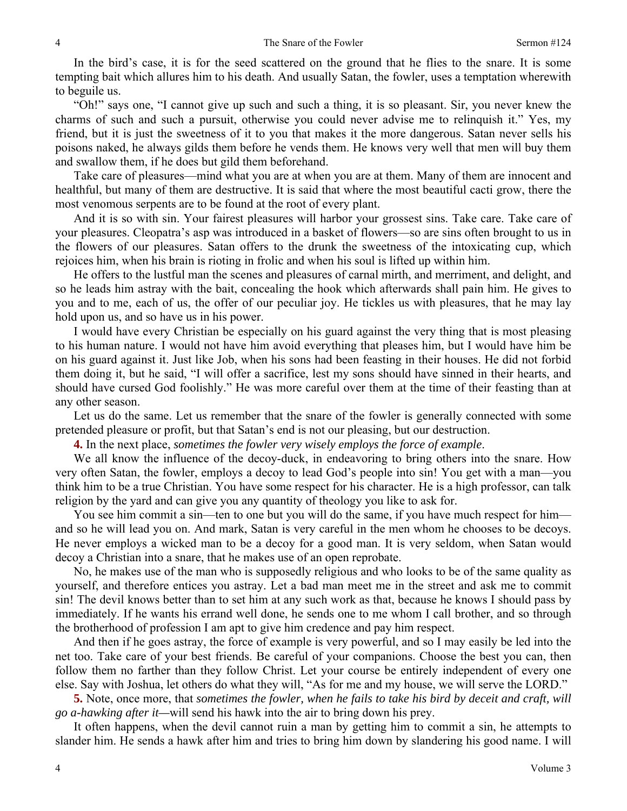In the bird's case, it is for the seed scattered on the ground that he flies to the snare. It is some tempting bait which allures him to his death. And usually Satan, the fowler, uses a temptation wherewith to beguile us.

"Oh!" says one, "I cannot give up such and such a thing, it is so pleasant. Sir, you never knew the charms of such and such a pursuit, otherwise you could never advise me to relinquish it." Yes, my friend, but it is just the sweetness of it to you that makes it the more dangerous. Satan never sells his poisons naked, he always gilds them before he vends them. He knows very well that men will buy them and swallow them, if he does but gild them beforehand.

Take care of pleasures—mind what you are at when you are at them. Many of them are innocent and healthful, but many of them are destructive. It is said that where the most beautiful cacti grow, there the most venomous serpents are to be found at the root of every plant.

And it is so with sin. Your fairest pleasures will harbor your grossest sins. Take care. Take care of your pleasures. Cleopatra's asp was introduced in a basket of flowers—so are sins often brought to us in the flowers of our pleasures. Satan offers to the drunk the sweetness of the intoxicating cup, which rejoices him, when his brain is rioting in frolic and when his soul is lifted up within him.

He offers to the lustful man the scenes and pleasures of carnal mirth, and merriment, and delight, and so he leads him astray with the bait, concealing the hook which afterwards shall pain him. He gives to you and to me, each of us, the offer of our peculiar joy. He tickles us with pleasures, that he may lay hold upon us, and so have us in his power.

I would have every Christian be especially on his guard against the very thing that is most pleasing to his human nature. I would not have him avoid everything that pleases him, but I would have him be on his guard against it. Just like Job, when his sons had been feasting in their houses. He did not forbid them doing it, but he said, "I will offer a sacrifice, lest my sons should have sinned in their hearts, and should have cursed God foolishly." He was more careful over them at the time of their feasting than at any other season.

Let us do the same. Let us remember that the snare of the fowler is generally connected with some pretended pleasure or profit, but that Satan's end is not our pleasing, but our destruction.

**4.** In the next place, *sometimes the fowler very wisely employs the force of example*.

We all know the influence of the decoy-duck, in endeavoring to bring others into the snare. How very often Satan, the fowler, employs a decoy to lead God's people into sin! You get with a man—you think him to be a true Christian. You have some respect for his character. He is a high professor, can talk religion by the yard and can give you any quantity of theology you like to ask for.

You see him commit a sin—ten to one but you will do the same, if you have much respect for him and so he will lead you on. And mark, Satan is very careful in the men whom he chooses to be decoys. He never employs a wicked man to be a decoy for a good man. It is very seldom, when Satan would decoy a Christian into a snare, that he makes use of an open reprobate.

No, he makes use of the man who is supposedly religious and who looks to be of the same quality as yourself, and therefore entices you astray. Let a bad man meet me in the street and ask me to commit sin! The devil knows better than to set him at any such work as that, because he knows I should pass by immediately. If he wants his errand well done, he sends one to me whom I call brother, and so through the brotherhood of profession I am apt to give him credence and pay him respect.

And then if he goes astray, the force of example is very powerful, and so I may easily be led into the net too. Take care of your best friends. Be careful of your companions. Choose the best you can, then follow them no farther than they follow Christ. Let your course be entirely independent of every one else. Say with Joshua, let others do what they will, "As for me and my house, we will serve the LORD."

**5.** Note, once more, that *sometimes the fowler, when he fails to take his bird by deceit and craft, will go a-hawking after it—*will send his hawk into the air to bring down his prey.

It often happens, when the devil cannot ruin a man by getting him to commit a sin, he attempts to slander him. He sends a hawk after him and tries to bring him down by slandering his good name. I will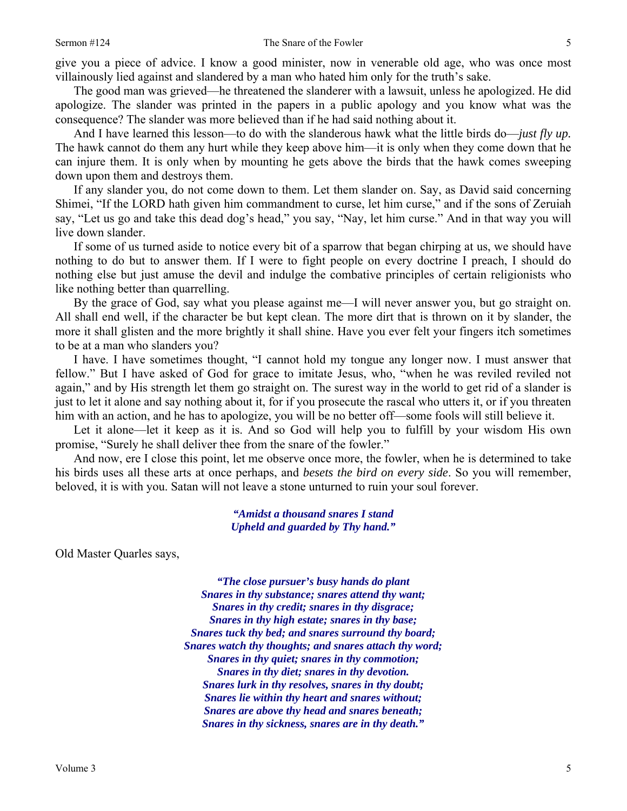give you a piece of advice. I know a good minister, now in venerable old age, who was once most villainously lied against and slandered by a man who hated him only for the truth's sake.

The good man was grieved—he threatened the slanderer with a lawsuit, unless he apologized. He did apologize. The slander was printed in the papers in a public apology and you know what was the consequence? The slander was more believed than if he had said nothing about it.

And I have learned this lesson—to do with the slanderous hawk what the little birds do—*just fly up.* The hawk cannot do them any hurt while they keep above him—it is only when they come down that he can injure them. It is only when by mounting he gets above the birds that the hawk comes sweeping down upon them and destroys them.

If any slander you, do not come down to them. Let them slander on. Say, as David said concerning Shimei, "If the LORD hath given him commandment to curse, let him curse," and if the sons of Zeruiah say, "Let us go and take this dead dog's head," you say, "Nay, let him curse." And in that way you will live down slander.

If some of us turned aside to notice every bit of a sparrow that began chirping at us, we should have nothing to do but to answer them. If I were to fight people on every doctrine I preach, I should do nothing else but just amuse the devil and indulge the combative principles of certain religionists who like nothing better than quarrelling.

By the grace of God, say what you please against me—I will never answer you, but go straight on. All shall end well, if the character be but kept clean. The more dirt that is thrown on it by slander, the more it shall glisten and the more brightly it shall shine. Have you ever felt your fingers itch sometimes to be at a man who slanders you?

I have. I have sometimes thought, "I cannot hold my tongue any longer now. I must answer that fellow." But I have asked of God for grace to imitate Jesus, who, "when he was reviled reviled not again," and by His strength let them go straight on. The surest way in the world to get rid of a slander is just to let it alone and say nothing about it, for if you prosecute the rascal who utters it, or if you threaten him with an action, and he has to apologize, you will be no better off—some fools will still believe it.

Let it alone—let it keep as it is. And so God will help you to fulfill by your wisdom His own promise, "Surely he shall deliver thee from the snare of the fowler."

And now, ere I close this point, let me observe once more, the fowler, when he is determined to take his birds uses all these arts at once perhaps, and *besets the bird on every side*. So you will remember, beloved, it is with you. Satan will not leave a stone unturned to ruin your soul forever.

> *"Amidst a thousand snares I stand Upheld and guarded by Thy hand."*

Old Master Quarles says,

*"The close pursuer's busy hands do plant Snares in thy substance; snares attend thy want; Snares in thy credit; snares in thy disgrace; Snares in thy high estate; snares in thy base; Snares tuck thy bed; and snares surround thy board; Snares watch thy thoughts; and snares attach thy word; Snares in thy quiet; snares in thy commotion; Snares in thy diet; snares in thy devotion. Snares lurk in thy resolves, snares in thy doubt; Snares lie within thy heart and snares without; Snares are above thy head and snares beneath; Snares in thy sickness, snares are in thy death."*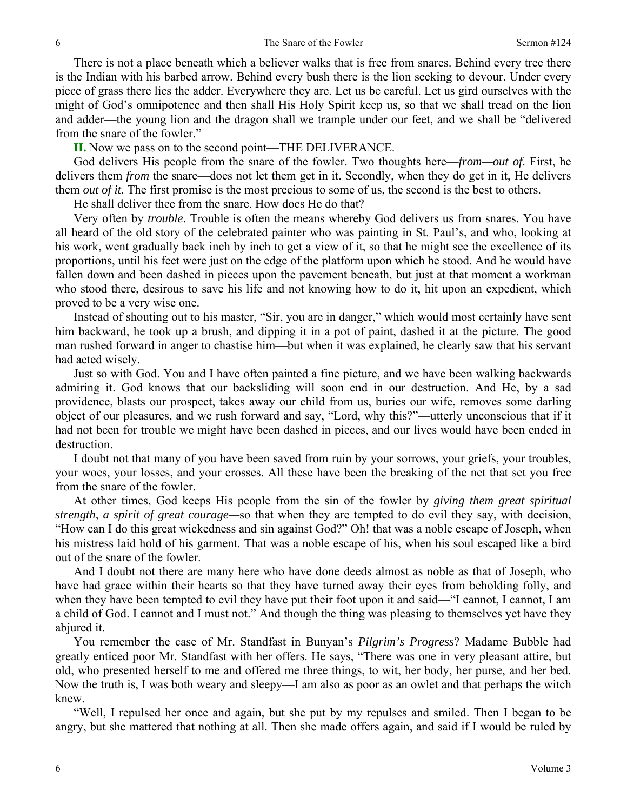There is not a place beneath which a believer walks that is free from snares. Behind every tree there is the Indian with his barbed arrow. Behind every bush there is the lion seeking to devour. Under every piece of grass there lies the adder. Everywhere they are. Let us be careful. Let us gird ourselves with the might of God's omnipotence and then shall His Holy Spirit keep us, so that we shall tread on the lion and adder—the young lion and the dragon shall we trample under our feet, and we shall be "delivered from the snare of the fowler."

**II.** Now we pass on to the second point—THE DELIVERANCE.

God delivers His people from the snare of the fowler. Two thoughts here—*from—out of*. First, he delivers them *from* the snare—does not let them get in it. Secondly, when they do get in it, He delivers them *out of it*. The first promise is the most precious to some of us, the second is the best to others.

He shall deliver thee from the snare. How does He do that?

Very often by *trouble*. Trouble is often the means whereby God delivers us from snares. You have all heard of the old story of the celebrated painter who was painting in St. Paul's, and who, looking at his work, went gradually back inch by inch to get a view of it, so that he might see the excellence of its proportions, until his feet were just on the edge of the platform upon which he stood. And he would have fallen down and been dashed in pieces upon the pavement beneath, but just at that moment a workman who stood there, desirous to save his life and not knowing how to do it, hit upon an expedient, which proved to be a very wise one.

Instead of shouting out to his master, "Sir, you are in danger," which would most certainly have sent him backward, he took up a brush, and dipping it in a pot of paint, dashed it at the picture. The good man rushed forward in anger to chastise him—but when it was explained, he clearly saw that his servant had acted wisely.

Just so with God. You and I have often painted a fine picture, and we have been walking backwards admiring it. God knows that our backsliding will soon end in our destruction. And He, by a sad providence, blasts our prospect, takes away our child from us, buries our wife, removes some darling object of our pleasures, and we rush forward and say, "Lord, why this?"—utterly unconscious that if it had not been for trouble we might have been dashed in pieces, and our lives would have been ended in destruction.

I doubt not that many of you have been saved from ruin by your sorrows, your griefs, your troubles, your woes, your losses, and your crosses. All these have been the breaking of the net that set you free from the snare of the fowler.

At other times, God keeps His people from the sin of the fowler by *giving them great spiritual strength, a spirit of great courage—*so that when they are tempted to do evil they say, with decision, "How can I do this great wickedness and sin against God?" Oh! that was a noble escape of Joseph, when his mistress laid hold of his garment. That was a noble escape of his, when his soul escaped like a bird out of the snare of the fowler.

And I doubt not there are many here who have done deeds almost as noble as that of Joseph, who have had grace within their hearts so that they have turned away their eyes from beholding folly, and when they have been tempted to evil they have put their foot upon it and said—"I cannot, I cannot, I am a child of God. I cannot and I must not." And though the thing was pleasing to themselves yet have they abjured it.

You remember the case of Mr. Standfast in Bunyan's *Pilgrim's Progress*? Madame Bubble had greatly enticed poor Mr. Standfast with her offers. He says, "There was one in very pleasant attire, but old, who presented herself to me and offered me three things, to wit, her body, her purse, and her bed. Now the truth is, I was both weary and sleepy—I am also as poor as an owlet and that perhaps the witch knew.

"Well, I repulsed her once and again, but she put by my repulses and smiled. Then I began to be angry, but she mattered that nothing at all. Then she made offers again, and said if I would be ruled by

6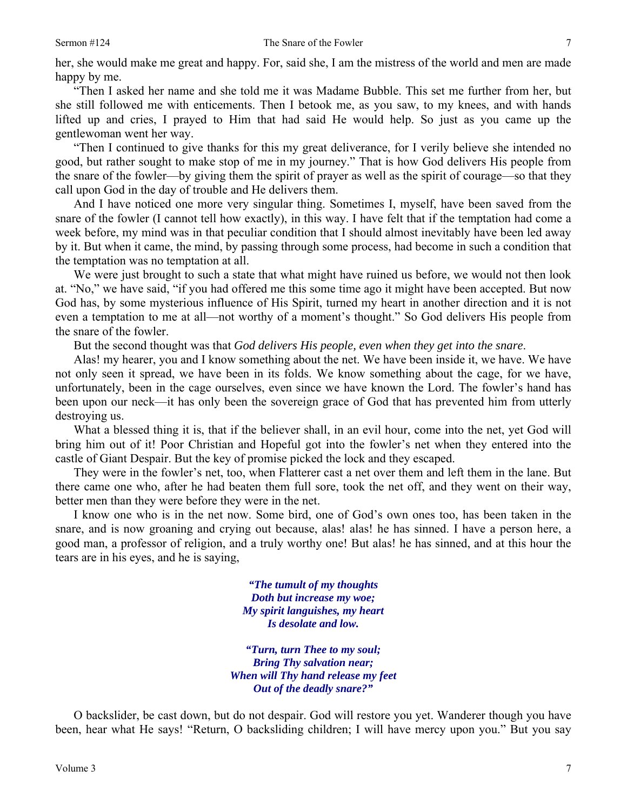her, she would make me great and happy. For, said she, I am the mistress of the world and men are made happy by me.

"Then I asked her name and she told me it was Madame Bubble. This set me further from her, but she still followed me with enticements. Then I betook me, as you saw, to my knees, and with hands lifted up and cries, I prayed to Him that had said He would help. So just as you came up the gentlewoman went her way.

"Then I continued to give thanks for this my great deliverance, for I verily believe she intended no good, but rather sought to make stop of me in my journey." That is how God delivers His people from the snare of the fowler—by giving them the spirit of prayer as well as the spirit of courage—so that they call upon God in the day of trouble and He delivers them.

And I have noticed one more very singular thing. Sometimes I, myself, have been saved from the snare of the fowler (I cannot tell how exactly), in this way. I have felt that if the temptation had come a week before, my mind was in that peculiar condition that I should almost inevitably have been led away by it. But when it came, the mind, by passing through some process, had become in such a condition that the temptation was no temptation at all.

We were just brought to such a state that what might have ruined us before, we would not then look at. "No," we have said, "if you had offered me this some time ago it might have been accepted. But now God has, by some mysterious influence of His Spirit, turned my heart in another direction and it is not even a temptation to me at all—not worthy of a moment's thought." So God delivers His people from the snare of the fowler.

But the second thought was that *God delivers His people, even when they get into the snare*.

Alas! my hearer, you and I know something about the net. We have been inside it, we have. We have not only seen it spread, we have been in its folds. We know something about the cage, for we have, unfortunately, been in the cage ourselves, even since we have known the Lord. The fowler's hand has been upon our neck—it has only been the sovereign grace of God that has prevented him from utterly destroying us.

What a blessed thing it is, that if the believer shall, in an evil hour, come into the net, yet God will bring him out of it! Poor Christian and Hopeful got into the fowler's net when they entered into the castle of Giant Despair. But the key of promise picked the lock and they escaped.

They were in the fowler's net, too, when Flatterer cast a net over them and left them in the lane. But there came one who, after he had beaten them full sore, took the net off, and they went on their way, better men than they were before they were in the net.

I know one who is in the net now. Some bird, one of God's own ones too, has been taken in the snare, and is now groaning and crying out because, alas! alas! he has sinned. I have a person here, a good man, a professor of religion, and a truly worthy one! But alas! he has sinned, and at this hour the tears are in his eyes, and he is saying,

> *"The tumult of my thoughts Doth but increase my woe; My spirit languishes, my heart Is desolate and low.*

*"Turn, turn Thee to my soul; Bring Thy salvation near; When will Thy hand release my feet Out of the deadly snare?"* 

O backslider, be cast down, but do not despair. God will restore you yet. Wanderer though you have been, hear what He says! "Return, O backsliding children; I will have mercy upon you." But you say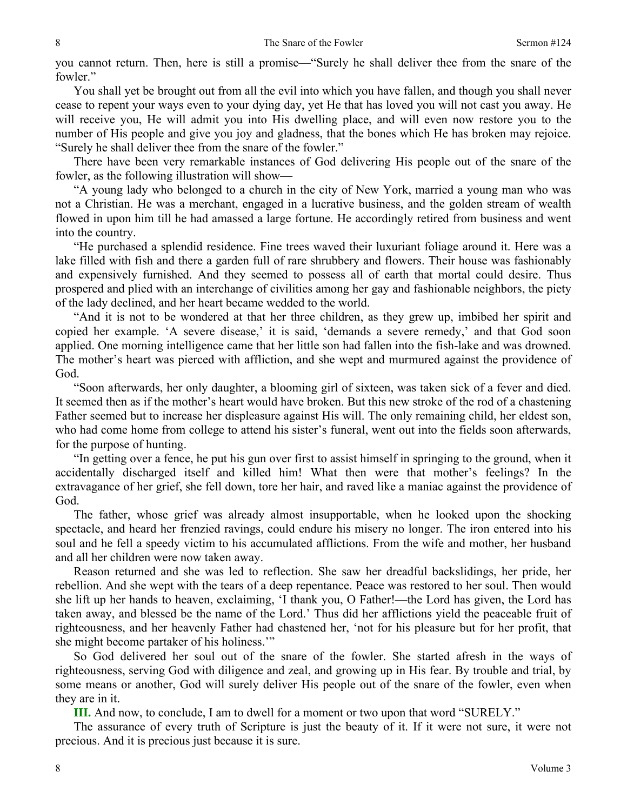you cannot return. Then, here is still a promise—"Surely he shall deliver thee from the snare of the fowler."

You shall yet be brought out from all the evil into which you have fallen, and though you shall never cease to repent your ways even to your dying day, yet He that has loved you will not cast you away. He will receive you, He will admit you into His dwelling place, and will even now restore you to the number of His people and give you joy and gladness, that the bones which He has broken may rejoice. "Surely he shall deliver thee from the snare of the fowler."

There have been very remarkable instances of God delivering His people out of the snare of the fowler, as the following illustration will show—

"A young lady who belonged to a church in the city of New York, married a young man who was not a Christian. He was a merchant, engaged in a lucrative business, and the golden stream of wealth flowed in upon him till he had amassed a large fortune. He accordingly retired from business and went into the country.

"He purchased a splendid residence. Fine trees waved their luxuriant foliage around it. Here was a lake filled with fish and there a garden full of rare shrubbery and flowers. Their house was fashionably and expensively furnished. And they seemed to possess all of earth that mortal could desire. Thus prospered and plied with an interchange of civilities among her gay and fashionable neighbors, the piety of the lady declined, and her heart became wedded to the world.

"And it is not to be wondered at that her three children, as they grew up, imbibed her spirit and copied her example. 'A severe disease,' it is said, 'demands a severe remedy,' and that God soon applied. One morning intelligence came that her little son had fallen into the fish-lake and was drowned. The mother's heart was pierced with affliction, and she wept and murmured against the providence of God.

"Soon afterwards, her only daughter, a blooming girl of sixteen, was taken sick of a fever and died. It seemed then as if the mother's heart would have broken. But this new stroke of the rod of a chastening Father seemed but to increase her displeasure against His will. The only remaining child, her eldest son, who had come home from college to attend his sister's funeral, went out into the fields soon afterwards, for the purpose of hunting.

"In getting over a fence, he put his gun over first to assist himself in springing to the ground, when it accidentally discharged itself and killed him! What then were that mother's feelings? In the extravagance of her grief, she fell down, tore her hair, and raved like a maniac against the providence of God.

The father, whose grief was already almost insupportable, when he looked upon the shocking spectacle, and heard her frenzied ravings, could endure his misery no longer. The iron entered into his soul and he fell a speedy victim to his accumulated afflictions. From the wife and mother, her husband and all her children were now taken away.

Reason returned and she was led to reflection. She saw her dreadful backslidings, her pride, her rebellion. And she wept with the tears of a deep repentance. Peace was restored to her soul. Then would she lift up her hands to heaven, exclaiming, 'I thank you, O Father!—the Lord has given, the Lord has taken away, and blessed be the name of the Lord.' Thus did her afflictions yield the peaceable fruit of righteousness, and her heavenly Father had chastened her, 'not for his pleasure but for her profit, that she might become partaker of his holiness.'"

So God delivered her soul out of the snare of the fowler. She started afresh in the ways of righteousness, serving God with diligence and zeal, and growing up in His fear. By trouble and trial, by some means or another, God will surely deliver His people out of the snare of the fowler, even when they are in it.

**III.** And now, to conclude, I am to dwell for a moment or two upon that word "SURELY."

The assurance of every truth of Scripture is just the beauty of it. If it were not sure, it were not precious. And it is precious just because it is sure.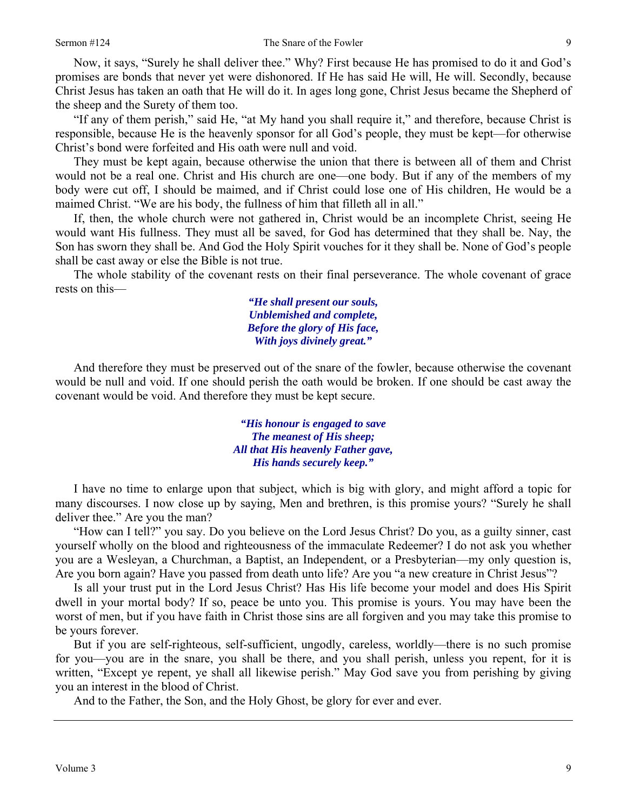Now, it says, "Surely he shall deliver thee." Why? First because He has promised to do it and God's promises are bonds that never yet were dishonored. If He has said He will, He will. Secondly, because Christ Jesus has taken an oath that He will do it. In ages long gone, Christ Jesus became the Shepherd of the sheep and the Surety of them too.

"If any of them perish," said He, "at My hand you shall require it," and therefore, because Christ is responsible, because He is the heavenly sponsor for all God's people, they must be kept—for otherwise Christ's bond were forfeited and His oath were null and void.

They must be kept again, because otherwise the union that there is between all of them and Christ would not be a real one. Christ and His church are one—one body. But if any of the members of my body were cut off, I should be maimed, and if Christ could lose one of His children, He would be a maimed Christ. "We are his body, the fullness of him that filleth all in all."

If, then, the whole church were not gathered in, Christ would be an incomplete Christ, seeing He would want His fullness. They must all be saved, for God has determined that they shall be. Nay, the Son has sworn they shall be. And God the Holy Spirit vouches for it they shall be. None of God's people shall be cast away or else the Bible is not true.

The whole stability of the covenant rests on their final perseverance. The whole covenant of grace rests on this—

> *"He shall present our souls, Unblemished and complete, Before the glory of His face, With joys divinely great."*

And therefore they must be preserved out of the snare of the fowler, because otherwise the covenant would be null and void. If one should perish the oath would be broken. If one should be cast away the covenant would be void. And therefore they must be kept secure.

> *"His honour is engaged to save The meanest of His sheep; All that His heavenly Father gave, His hands securely keep."*

I have no time to enlarge upon that subject, which is big with glory, and might afford a topic for many discourses. I now close up by saying, Men and brethren, is this promise yours? "Surely he shall deliver thee." Are you the man?

"How can I tell?" you say. Do you believe on the Lord Jesus Christ? Do you, as a guilty sinner, cast yourself wholly on the blood and righteousness of the immaculate Redeemer? I do not ask you whether you are a Wesleyan, a Churchman, a Baptist, an Independent, or a Presbyterian—my only question is, Are you born again? Have you passed from death unto life? Are you "a new creature in Christ Jesus"?

Is all your trust put in the Lord Jesus Christ? Has His life become your model and does His Spirit dwell in your mortal body? If so, peace be unto you. This promise is yours. You may have been the worst of men, but if you have faith in Christ those sins are all forgiven and you may take this promise to be yours forever.

But if you are self-righteous, self-sufficient, ungodly, careless, worldly—there is no such promise for you—you are in the snare, you shall be there, and you shall perish, unless you repent, for it is written, "Except ye repent, ye shall all likewise perish." May God save you from perishing by giving you an interest in the blood of Christ.

And to the Father, the Son, and the Holy Ghost, be glory for ever and ever.